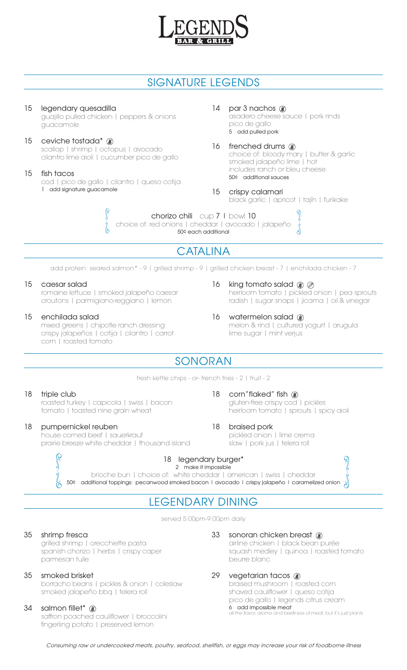

# SIGNATURE LEGENDS

# 15 legendary quesadilla

guajillo pulled chicken | peppers & onions guacamole

### 15 ceviche tostada\* <sup>36</sup> scallop | shrimp | octopus | avocado cilantro lime aioli | cucumber pico de gallo

### 15 fish tacos

cod | pico de gallo | cilantro | queso cotija 1 add signature guacamole

Police PD

# 14 par 3 nachos  $\circledast$

asadero cheese sauce | pork rinds pico de gallo 5 add pulled pork

#### 16 frenched drums <sup>36</sup> choice of: bloody mary | butter & garlic smoked jalapeño lime | hot includes ranch or bleu cheese 50¢ additional sauces

# 15 crispy calamari

black garlic | apricot | tajín | furikake

90 pm

chorizo chili cup 7 | bowl 10 choice of: red onions | cheddar | avocado | jalapeño 50¢ each additional

# **CATALINA**

add protein: seared salmon\* - 9 | grilled shrimp - 9 | grilled chicken breast - 7 | enchilada chicken - 7

## 15 caesar salad

romaine lettuce | smoked jalapeño caesar croutons | parmigiano-reggiano | lemon

## 15 enchilada salad

mixed greens | chipotle ranch dressing crispy jalapeños | cotija | cilantro | carrot corn | roasted tomato

- 16 king tomato salad  $\circledast \oslash$ heirloom tomato | pickled onion | pea sprouts radish | sugar snaps | jicama | oil & vinegar
- 16 watermelon salad @ melon & rind | cultured yogurt | arugula lime sugar | mint verjus

gluten-free crispy cod | pickles

pickled onion | lime crema slaw | pork jus | telera roll

heirloom tomato | sprouts | spicy aioli

# SONORAN

fresh kettle chips - or- french fries - 2 | fruit - 2

## 18 triple club

roasted turkey | capicola | swiss | bacon tomato | toasted nine grain wheat

## 18 pumpernickel reuben

house corned beef | sauerkraut prairie breeze white cheddar | thousand island

# OC PO

# 18 legendary burger\*

2 make it impossible

brioche bun | choice of: white cheddar | american | swiss | cheddar 50¢ additional toppings: pecanwood smoked bacon | avocado | crispy jalapeño | caramelized onion  $\frac{1}{6}$ 

# LEGENDARY DINING

served 5:00pm-9:00pm daily

## 35 shrimp fresca

grilled shrimp | orecchiette pasta spanish chorizo | herbs | crispy caper parmesan tuile

## 35 smoked brisket

borracho beans | pickles & onion | coleslaw smoked jalapeño bbq | telera roll

## 34 salmon fillet\* <sup>30</sup>

saffron poached cauliflower | broccolini fingerling potato | preserved lemon

## 33 sonoran chicken breast @

airline chicken | black bean purée squash medley | quinoa | roasted tomato beurre blanc

**999-99** 

ŏ

## 29 vegetarian tacos

18 corn"flaked" fish  $\circledast$ 

18 braised pork

braised mushroom | roasted corn shaved cauliflower | queso cotija pico de gallo | legends citrus cream 6 add impossible meat all the flavor.<br>The flavor, but it's just plants

Consuming raw or undercooked meats, poultry, seafood, shellfish, or eggs may increase your risk of foodborne illness